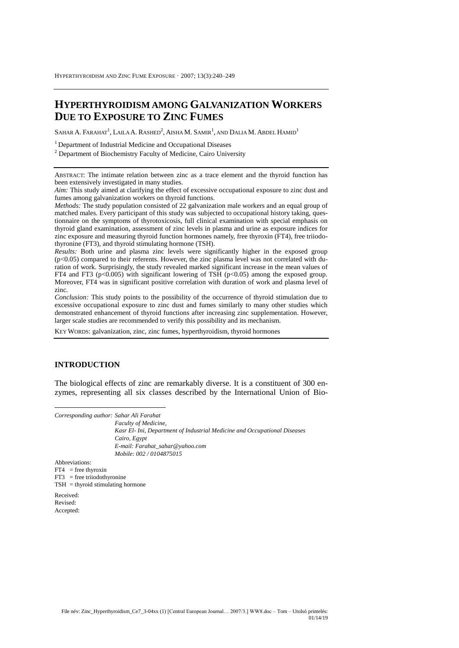# **HYPERTHYROIDISM AMONG GALVANIZATION WORKERS DUE TO EXPOSURE TO ZINC FUMES**

Sahar A. Farahat<sup>1</sup>, Laila A. Rashed<sup>2</sup>, Aisha M. Samir<sup>1</sup>, and Dalia M. Abdel Hamid<sup>1</sup>

<sup>1</sup> Department of Industrial Medicine and Occupational Diseases

<sup>2</sup> Department of Biochemistry Faculty of Medicine, Cairo University

ABSTRACT: The intimate relation between zinc as a trace element and the thyroid function has been extensively investigated in many studies.

*Aim:* This study aimed at clarifying the effect of excessive occupational exposure to zinc dust and fumes among galvanization workers on thyroid functions.

*Methods:* The study population consisted of 22 galvanization male workers and an equal group of matched males. Every participant of this study was subjected to occupational history taking, questionnaire on the symptoms of thyrotoxicosis, full clinical examination with special emphasis on thyroid gland examination, assessment of zinc levels in plasma and urine as exposure indices for zinc exposure and measuring thyroid function hormones namely, free thyroxin (FT4), free triiodothyronine (FT3), and thyroid stimulating hormone (TSH).

*Results:* Both urine and plasma zinc levels were significantly higher in the exposed group  $(p<0.05)$  compared to their referents. However, the zinc plasma level was not correlated with duration of work. Surprisingly, the study revealed marked significant increase in the mean values of FT4 and FT3 ( $p<0.005$ ) with significant lowering of TSH ( $p<0.05$ ) among the exposed group. Moreover, FT4 was in significant positive correlation with duration of work and plasma level of zinc.

*Conclusion:* This study points to the possibility of the occurrence of thyroid stimulation due to excessive occupational exposure to zinc dust and fumes similarly to many other studies which demonstrated enhancement of thyroid functions after increasing zinc supplementation. However, larger scale studies are recommended to verify this possibility and its mechanism.

KEY WORDS: galvanization, zinc, zinc fumes, hyperthyroidism, thyroid hormones

## **INTRODUCTION**

The biological effects of zinc are remarkably diverse. It is a constituent of 300 enzymes, representing all six classes described by the International Union of Bio-

*Corresponding author: Sahar Ali Farahat Faculty of Medicine, Kasr El- Ini, Department of Industrial Medicine and Occupational Diseases Cairo, Egypt E-mail: Farahat\_sahar@yahoo.com Mobile: 002 / 0104875015* Abbreviations:  $FT4$  = free thyroxin  $FT3$  = free triiodothyronine TSH = thyroid stimulating hormone Received: Revised:

Accepted:

 $\overline{a}$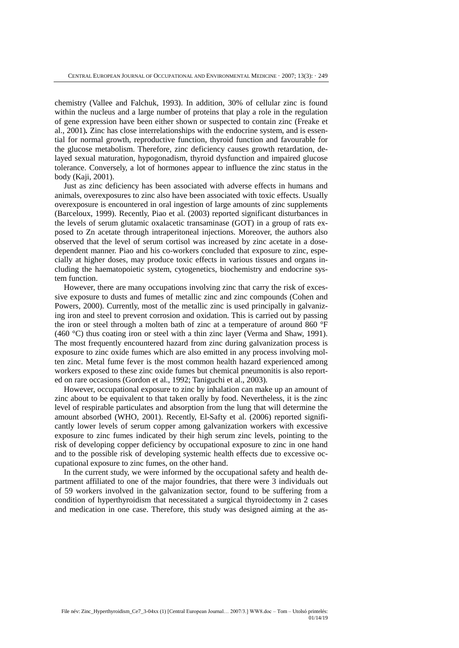chemistry (Vallee and Falchuk, 1993). In addition, 30% of cellular zinc is found within the nucleus and a large number of proteins that play a role in the regulation of gene expression have been either shown or suspected to contain zinc (Freake et al., 2001)*.* Zinc has close interrelationships with the endocrine system, and is essential for normal growth, reproductive function, thyroid function and favourable for the glucose metabolism. Therefore, zinc deficiency causes growth retardation, delayed sexual maturation, hypogonadism, thyroid dysfunction and impaired glucose tolerance. Conversely, a lot of hormones appear to influence the zinc status in the body (Kaji, 2001).

Just as zinc deficiency has been associated with adverse effects in humans and animals, overexposures to zinc also have been associated with toxic effects. Usually overexposure is encountered in oral ingestion of large amounts of zinc supplements (Barceloux, 1999). Recently, Piao et al. (2003) reported significant disturbances in the levels of serum glutamic oxalacetic transaminase (GOT) in a group of rats exposed to Zn acetate through intraperitoneal injections. Moreover, the authors also observed that the level of serum cortisol was increased by zinc acetate in a dosedependent manner. Piao and his co-workers concluded that exposure to zinc, especially at higher doses, may produce toxic effects in various tissues and organs including the haematopoietic system, cytogenetics, biochemistry and endocrine system function.

However, there are many occupations involving zinc that carry the risk of excessive exposure to dusts and fumes of metallic zinc and zinc compounds (Cohen and Powers, 2000). Currently, most of the metallic zinc is used principally in galvanizing iron and steel to prevent corrosion and oxidation. This is carried out by passing the iron or steel through a molten bath of zinc at a temperature of around 860 °F (460 °C) thus coating iron or steel with a thin zinc layer (Verma and Shaw, 1991). The most frequently encountered hazard from zinc during galvanization process is exposure to zinc oxide fumes which are also emitted in any process involving molten zinc. Metal fume fever is the most common health hazard experienced among workers exposed to these zinc oxide fumes but chemical pneumonitis is also reported on rare occasions (Gordon et al., 1992; Taniguchi et al., 2003).

However, occupational exposure to zinc by inhalation can make up an amount of zinc about to be equivalent to that taken orally by food. Nevertheless, it is the zinc level of respirable particulates and absorption from the lung that will determine the amount absorbed (WHO, 2001). Recently, El-Safty et al. (2006) reported significantly lower levels of serum copper among galvanization workers with excessive exposure to zinc fumes indicated by their high serum zinc levels, pointing to the risk of developing copper deficiency by occupational exposure to zinc in one hand and to the possible risk of developing systemic health effects due to excessive occupational exposure to zinc fumes, on the other hand.

In the current study, we were informed by the occupational safety and health department affiliated to one of the major foundries, that there were 3 individuals out of 59 workers involved in the galvanization sector, found to be suffering from a condition of hyperthyroidism that necessitated a surgical thyroidectomy in 2 cases and medication in one case. Therefore, this study was designed aiming at the as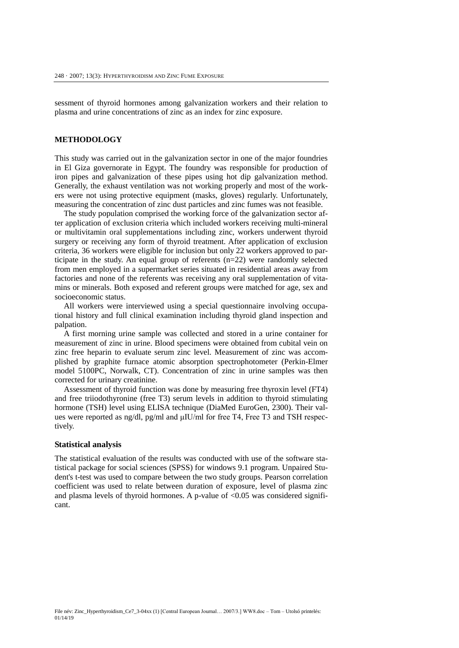sessment of thyroid hormones among galvanization workers and their relation to plasma and urine concentrations of zinc as an index for zinc exposure.

## **METHODOLOGY**

This study was carried out in the galvanization sector in one of the major foundries in El Giza governorate in Egypt. The foundry was responsible for production of iron pipes and galvanization of these pipes using hot dip galvanization method. Generally, the exhaust ventilation was not working properly and most of the workers were not using protective equipment (masks, gloves) regularly. Unfortunately, measuring the concentration of zinc dust particles and zinc fumes was not feasible.

The study population comprised the working force of the galvanization sector after application of exclusion criteria which included workers receiving multi-mineral or multivitamin oral supplementations including zinc, workers underwent thyroid surgery or receiving any form of thyroid treatment. After application of exclusion criteria, 36 workers were eligible for inclusion but only 22 workers approved to participate in the study. An equal group of referents  $(n=22)$  were randomly selected from men employed in a supermarket series situated in residential areas away from factories and none of the referents was receiving any oral supplementation of vitamins or minerals. Both exposed and referent groups were matched for age, sex and socioeconomic status.

All workers were interviewed using a special questionnaire involving occupational history and full clinical examination including thyroid gland inspection and palpation.

A first morning urine sample was collected and stored in a urine container for measurement of zinc in urine. Blood specimens were obtained from cubital vein on zinc free heparin to evaluate serum zinc level. Measurement of zinc was accomplished by graphite furnace atomic absorption spectrophotometer (Perkin-Elmer model 5100PC, Norwalk, CT). Concentration of zinc in urine samples was then corrected for urinary creatinine.

Assessment of thyroid function was done by measuring free thyroxin level (FT4) and free triiodothyronine (free T3) serum levels in addition to thyroid stimulating hormone (TSH) level using ELISA technique (DiaMed EuroGen, 2300). Their values were reported as ng/dl, pg/ml and μIU/ml for free T4, Free T3 and TSH respectively.

#### **Statistical analysis**

The statistical evaluation of the results was conducted with use of the software statistical package for social sciences (SPSS) for windows 9.1 program. Unpaired Student's t-test was used to compare between the two study groups. Pearson correlation coefficient was used to relate between duration of exposure, level of plasma zinc and plasma levels of thyroid hormones. A p-value of  $\langle 0.05 \rangle$  was considered significant.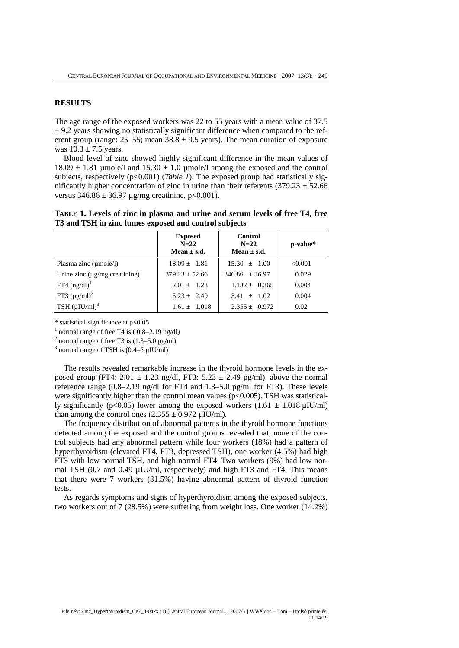#### **RESULTS**

The age range of the exposed workers was 22 to 55 years with a mean value of 37.5  $\pm$  9.2 years showing no statistically significant difference when compared to the referent group (range:  $25-55$ ; mean  $38.8 \pm 9.5$  years). The mean duration of exposure was  $10.3 \pm 7.5$  years.

Blood level of zinc showed highly significant difference in the mean values of  $18.09 \pm 1.81$  µmole/l and  $15.30 \pm 1.0$  µmole/l among the exposed and the control subjects, respectively  $(p<0.001)$  (*Table 1*). The exposed group had statistically significantly higher concentration of zinc in urine than their referents (379.23  $\pm$  52.66 versus  $346.86 \pm 36.97$  µg/mg creatinine, p<0.001).

**TABLE 1. Levels of zinc in plasma and urine and serum levels of free T4, free T3 and TSH in zinc fumes exposed and control subjects**

|                                     | <b>Exposed</b><br>$N=22$<br>Mean $\pm$ s.d. | <b>Control</b><br>$N=22$<br>Mean $\pm$ s.d. | p-value* |
|-------------------------------------|---------------------------------------------|---------------------------------------------|----------|
| Plasma zinc $(\mu$ mole/l)          | $18.09 \pm 1.81$                            | $15.30 \pm 1.00$                            | < 0.001  |
| Urine zinc $(\mu g/mg)$ creatinine) | $379.23 + 52.66$                            | $346.86 \pm 36.97$                          | 0.029    |
| FT4 $(ng/dl)^1$                     | $2.01 + 1.23$                               | $1.132 \pm 0.365$                           | 0.004    |
| FT3 $(pg/ml)^2$                     | $5.23 \pm 2.49$                             | $3.41 \pm 1.02$                             | 0.004    |
| TSH $(\mu I U/ml)^3$                | $1.61 \pm 1.018$                            | $2.355 \pm 0.972$                           | 0.02     |

\* statistical significance at p<0.05

<sup>1</sup> normal range of free T4 is  $(0.8-2.19 \text{ ng/dl})$ 

 $2$  normal range of free T3 is  $(1.3-5.0 \text{ pg/ml})$ 

 $3$  normal range of TSH is (0.4–5  $\mu$ IU/ml)

The results revealed remarkable increase in the thyroid hormone levels in the exposed group (FT4: 2.01  $\pm$  1.23 ng/dl, FT3: 5.23  $\pm$  2.49 pg/ml), above the normal reference range (0.8–2.19 ng/dl for FT4 and 1.3–5.0 pg/ml for FT3). These levels were significantly higher than the control mean values ( $p<0.005$ ). TSH was statistically significantly (p<0.05) lower among the exposed workers (1.61  $\pm$  1.018 µIU/ml) than among the control ones  $(2.355 \pm 0.972 \,\mu\text{IU/ml})$ .

The frequency distribution of abnormal patterns in the thyroid hormone functions detected among the exposed and the control groups revealed that, none of the control subjects had any abnormal pattern while four workers (18%) had a pattern of hyperthyroidism (elevated FT4, FT3, depressed TSH), one worker (4.5%) had high FT3 with low normal TSH, and high normal FT4. Two workers (9%) had low normal TSH  $(0.7 \text{ and } 0.49 \text{ µIU/ml})$ , respectively) and high FT3 and FT4. This means that there were 7 workers (31.5%) having abnormal pattern of thyroid function tests.

As regards symptoms and signs of hyperthyroidism among the exposed subjects, two workers out of 7 (28.5%) were suffering from weight loss. One worker (14.2%)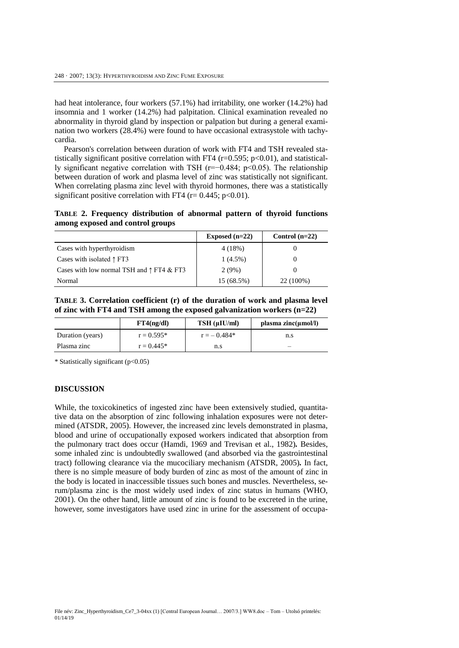had heat intolerance, four workers (57.1%) had irritability, one worker (14.2%) had insomnia and 1 worker (14.2%) had palpitation. Clinical examination revealed no abnormality in thyroid gland by inspection or palpation but during a general examination two workers (28.4%) were found to have occasional extrasystole with tachycardia.

Pearson's correlation between duration of work with FT4 and TSH revealed statistically significant positive correlation with FT4 ( $r=0.595$ ;  $p<0.01$ ), and statistically significant negative correlation with TSH (r=−0.484; p<0.05). The relationship between duration of work and plasma level of zinc was statistically not significant. When correlating plasma zinc level with thyroid hormones, there was a statistically significant positive correlation with FT4 ( $r = 0.445$ ;  $p < 0.01$ ).

**TABLE 2. Frequency distribution of abnormal pattern of thyroid functions among exposed and control groups**

|                                                    | Exposed $(n=22)$ | Control $(n=22)$ |
|----------------------------------------------------|------------------|------------------|
| Cases with hyperthyroidism                         | 4(18%)           |                  |
| Cases with isolated $\uparrow$ FT3                 | $1(4.5\%)$       |                  |
| Cases with low normal TSH and $\uparrow$ FT4 & FT3 | 2(9%)            |                  |
| Normal                                             | 15 (68.5%)       | 22 (100%)        |

**TABLE 3. Correlation coefficient (r) of the duration of work and plasma level of zinc with FT4 and TSH among the exposed galvanization workers (n=22)**

|                  | FT4(ng/dl)   | TSH (µIU/ml)  | plasma zinc $(\mu$ mol/l) |
|------------------|--------------|---------------|---------------------------|
| Duration (years) | $r = 0.595*$ | $r = -0.484*$ | n.s                       |
| Plasma zinc      | $r = 0.445*$ | n.s           |                           |

\* Statistically significant (p<0.05)

## **DISCUSSION**

While, the toxicokinetics of ingested zinc have been extensively studied, quantitative data on the absorption of zinc following inhalation exposures were not determined (ATSDR, 2005). However, the increased zinc levels demonstrated in plasma, blood and urine of occupationally exposed workers indicated that absorption from the pulmonary tract does occur (Hamdi, 1969 and Trevisan et al., 1982)*.* Besides, some inhaled zinc is undoubtedly swallowed (and absorbed via the gastrointestinal tract) following clearance via the mucociliary mechanism (ATSDR, 2005)*.* In fact, there is no simple measure of body burden of zinc as most of the amount of zinc in the body is located in inaccessible tissues such bones and muscles. Nevertheless, serum/plasma zinc is the most widely used index of zinc status in humans (WHO, 2001). On the other hand, little amount of zinc is found to be excreted in the urine, however, some investigators have used zinc in urine for the assessment of occupa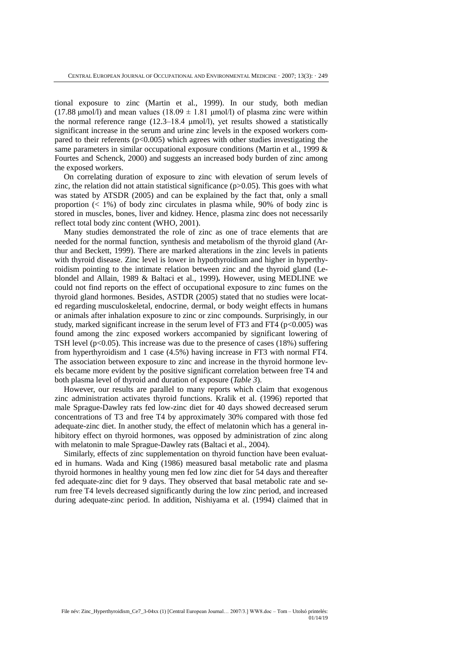tional exposure to zinc (Martin et al., 1999). In our study, both median (17.88 μmol/l) and mean values (18.09  $\pm$  1.81 μmol/l) of plasma zinc were within the normal reference range (12.3–18.4 μmol/l), yet results showed a statistically significant increase in the serum and urine zinc levels in the exposed workers compared to their referents  $(p<0.005)$  which agrees with other studies investigating the same parameters in similar occupational exposure conditions (Martin et al., 1999 & Fourtes and Schenck, 2000) and suggests an increased body burden of zinc among the exposed workers.

On correlating duration of exposure to zinc with elevation of serum levels of zinc, the relation did not attain statistical significance  $(p>0.05)$ . This goes with what was stated by ATSDR (2005) and can be explained by the fact that, only a small proportion  $(1\%)$  of body zinc circulates in plasma while, 90% of body zinc is stored in muscles, bones, liver and kidney. Hence, plasma zinc does not necessarily reflect total body zinc content (WHO, 2001).

Many studies demonstrated the role of zinc as one of trace elements that are needed for the normal function, synthesis and metabolism of the thyroid gland (Arthur and Beckett, 1999). There are marked alterations in the zinc levels in patients with thyroid disease. Zinc level is lower in hypothyroidism and higher in hyperthyroidism pointing to the intimate relation between zinc and the thyroid gland (Leblondel and Allain, 1989 & Baltaci et al., 1999)*.* However, using MEDLINE we could not find reports on the effect of occupational exposure to zinc fumes on the thyroid gland hormones. Besides, ASTDR (2005) stated that no studies were located regarding musculoskeletal, endocrine, dermal, or body weight effects in humans or animals after inhalation exposure to zinc or zinc compounds. Surprisingly, in our study, marked significant increase in the serum level of FT3 and FT4 ( $p<0.005$ ) was found among the zinc exposed workers accompanied by significant lowering of TSH level ( $p<0.05$ ). This increase was due to the presence of cases (18%) suffering from hyperthyroidism and 1 case (4.5%) having increase in FT3 with normal FT4. The association between exposure to zinc and increase in the thyroid hormone levels became more evident by the positive significant correlation between free T4 and both plasma level of thyroid and duration of exposure (*Table 3*).

However, our results are parallel to many reports which claim that exogenous zinc administration activates thyroid functions. Kralik et al. (1996) reported that male Sprague-Dawley rats fed low-zinc diet for 40 days showed decreased serum concentrations of T3 and free T4 by approximately 30% compared with those fed adequate-zinc diet. In another study, the effect of melatonin which has a general inhibitory effect on thyroid hormones, was opposed by administration of zinc along with melatonin to male Sprague-Dawley rats (Baltaci et al., 2004).

Similarly, effects of zinc supplementation on thyroid function have been evaluated in humans. Wada and King (1986) measured basal metabolic rate and plasma thyroid hormones in healthy young men fed low zinc diet for 54 days and thereafter fed adequate-zinc diet for 9 days. They observed that basal metabolic rate and serum free T4 levels decreased significantly during the low zinc period, and increased during adequate-zinc period. In addition, Nishiyama et al. (1994) claimed that in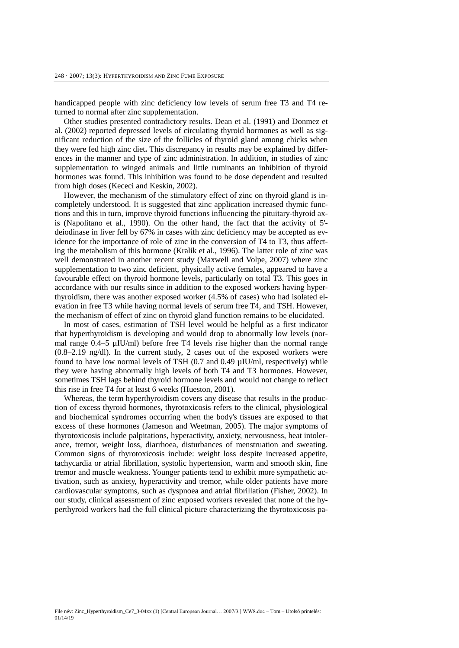handicapped people with zinc deficiency low levels of serum free T3 and T4 returned to normal after zinc supplementation.

Other studies presented contradictory results. Dean et al. (1991) and Donmez et al. (2002) reported depressed levels of circulating thyroid hormones as well as significant reduction of the size of the follicles of thyroid gland among chicks when they were fed high zinc diet**.** This discrepancy in results may be explained by differences in the manner and type of zinc administration. In addition, in studies of zinc supplementation to winged animals and little ruminants an inhibition of thyroid hormones was found. This inhibition was found to be dose dependent and resulted from high doses (Kececi and Keskin, 2002).

However, the mechanism of the stimulatory effect of zinc on thyroid gland is incompletely understood. It is suggested that zinc application increased thymic functions and this in turn, improve thyroid functions influencing the pituitary-thyroid axis (Napolitano et al., 1990). On the other hand, the fact that the activity of 5' deiodinase in liver fell by 67% in cases with zinc deficiency may be accepted as evidence for the importance of role of zinc in the conversion of T4 to T3, thus affecting the metabolism of this hormone (Kralik et al., 1996). The latter role of zinc was well demonstrated in another recent study (Maxwell and Volpe, 2007) where zinc supplementation to two zinc deficient, physically active females, appeared to have a favourable effect on thyroid hormone levels, particularly on total T3. This goes in accordance with our results since in addition to the exposed workers having hyperthyroidism, there was another exposed worker (4.5% of cases) who had isolated elevation in free T3 while having normal levels of serum free T4, and TSH. However, the mechanism of effect of zinc on thyroid gland function remains to be elucidated.

In most of cases, estimation of TSH level would be helpful as a first indicator that hyperthyroidism is developing and would drop to abnormally low levels (normal range  $0.4-5 \mu\text{IU/ml}$  before free T4 levels rise higher than the normal range (0.8–2.19 ng/dl). In the current study, 2 cases out of the exposed workers were found to have low normal levels of TSH (0.7 and 0.49 µIU/ml, respectively) while they were having abnormally high levels of both T4 and T3 hormones. However, sometimes TSH lags behind thyroid hormone levels and would not change to reflect this rise in free T4 for at least 6 weeks (Hueston, 2001).

Whereas, the term hyperthyroidism covers any disease that results in the production of excess thyroid hormones, thyrotoxicosis refers to the clinical, physiological and biochemical syndromes occurring when the body's tissues are exposed to that excess of these hormones (Jameson and Weetman, 2005). The major symptoms of thyrotoxicosis include palpitations, hyperactivity, anxiety, nervousness, heat intolerance, tremor, weight loss, diarrhoea, disturbances of menstruation and sweating. Common signs of thyrotoxicosis include: weight loss despite increased appetite, tachycardia or atrial fibrillation, systolic hypertension, warm and smooth skin, fine tremor and muscle weakness. Younger patients tend to exhibit more sympathetic activation, such as anxiety, hyperactivity and tremor, while older patients have more cardiovascular symptoms, such as dyspnoea and atrial fibrillation (Fisher, 2002). In our study, clinical assessment of zinc exposed workers revealed that none of the hyperthyroid workers had the full clinical picture characterizing the thyrotoxicosis pa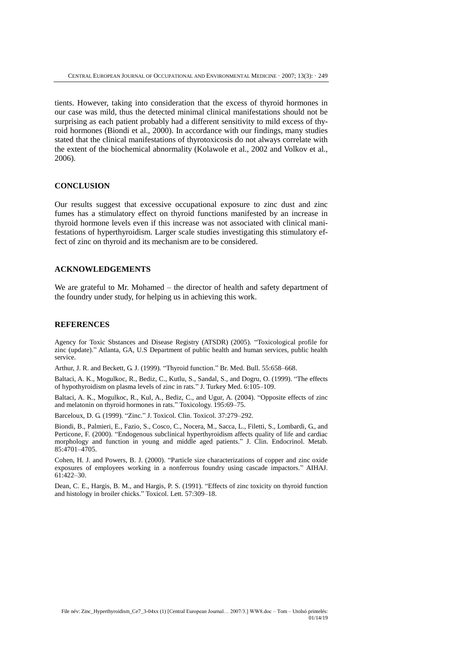tients. However, taking into consideration that the excess of thyroid hormones in our case was mild, thus the detected minimal clinical manifestations should not be surprising as each patient probably had a different sensitivity to mild excess of thyroid hormones (Biondi et al., 2000). In accordance with our findings, many studies stated that the clinical manifestations of thyrotoxicosis do not always correlate with the extent of the biochemical abnormality (Kolawole et al., 2002 and Volkov et al., 2006).

## **CONCLUSION**

Our results suggest that excessive occupational exposure to zinc dust and zinc fumes has a stimulatory effect on thyroid functions manifested by an increase in thyroid hormone levels even if this increase was not associated with clinical manifestations of hyperthyroidism. Larger scale studies investigating this stimulatory effect of zinc on thyroid and its mechanism are to be considered.

## **ACKNOWLEDGEMENTS**

We are grateful to Mr. Mohamed – the director of health and safety department of the foundry under study, for helping us in achieving this work.

# **REFERENCES**

Agency for Toxic Sbstances and Disease Registry (ATSDR) (2005). "Toxicological profile for zinc (update)." Atlanta, GA, U.S Department of public health and human services, public health service.

Arthur, J. R. and Beckett, G. J. (1999). "Thyroid function." Br. Med. Bull. 55:658–668.

Baltaci, A. K., Mogulkoc, R., Bediz, C., Kutlu, S., Sandal, S., and Dogru, O. (1999). "The effects of hypothyroidism on plasma levels of zinc in rats." J. Turkey Med. 6:105–109.

Baltaci, A. K., Mogulkoc, R., Kul, A., Bediz, C., and Ugur, A. (2004). "Opposite effects of zinc and melatonin on thyroid hormones in rats." Toxicology. 195:69–75.

Barceloux, D. G. (1999). "Zinc." J. Toxicol. Clin. Toxicol. 37:279–292.

Biondi, B., Palmieri, E., Fazio, S., Cosco, C., Nocera, M., Sacca, L., Filetti, S., Lombardi, G., and Perticone, F. (2000). "Endogenous subclinical hyperthyroidism affects quality of life and cardiac morphology and function in young and middle aged patients." J. Clin. Endocrinol. Metab. 85:4701–4705.

Cohen, H. J. and Powers, B. J. (2000). "Particle size characterizations of copper and zinc oxide exposures of employees working in a nonferrous foundry using cascade impactors." AIHAJ. 61:422–30.

Dean, C. E., Hargis, B. M., and Hargis, P. S. (1991). "Effects of zinc toxicity on thyroid function and histology in broiler chicks." Toxicol. Lett. 57:309–18.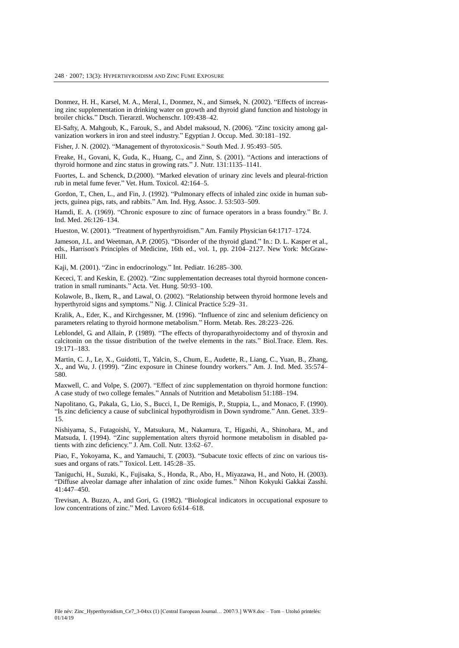Donmez, H. H., Karsel, M. A., Meral, I., Donmez, N., and Simsek, N. (2002). "Effects of increasing zinc supplementation in drinking water on growth and thyroid gland function and histology in broiler chicks." Dtsch. Tierarztl. Wochenschr. 109:438–42.

El-Safty, A. Mahgoub, K., Farouk, S., and Abdel maksoud, N. (2006). "Zinc toxicity among galvanization workers in iron and steel industry." Egyptian J. Occup. Med. 30:181–192.

Fisher, J. N. (2002). "Management of thyrotoxicosis." South Med. J. 95:493–505.

Freake, H., Govani, K, Guda, K., Huang, C., and Zinn, S. (2001). "Actions and interactions of thyroid hormone and zinc status in growing rats." J. Nutr. 131:1135–1141.

Fuortes, L. and Schenck, D.(2000). "Marked elevation of urinary zinc levels and pleural-friction rub in metal fume fever." Vet. Hum. Toxicol. 42:164–5.

Gordon, T., Chen, L., and Fin, J. (1992). "Pulmonary effects of inhaled zinc oxide in human subjects, guinea pigs, rats, and rabbits." Am. Ind. Hyg. Assoc. J. 53:503–509.

Hamdi, E. A. (1969). "Chronic exposure to zinc of furnace operators in a brass foundry." Br. J. Ind. Med. 26:126–134.

Hueston, W. (2001). "Treatment of hyperthyroidism." Am. Family Physician 64:1717–1724.

Jameson, J.L. and Weetman, A.P. (2005). "Disorder of the thyroid gland." In.: D. L. Kasper et al., eds., Harrison's Principles of Medicine, 16th ed., vol. 1, pp. 2104–2127. New York: McGraw-Hill.

Kaji, M. (2001). "Zinc in endocrinology." Int. Pediatr. 16:285–300.

Kececi, T. and Keskin, E. (2002). "Zinc supplementation decreases total thyroid hormone concentration in small ruminants." Acta. Vet. Hung. 50:93–100.

Kolawole, B., Ikem, R., and Lawal, O. (2002). "Relationship between thyroid hormone levels and hyperthyroid signs and symptoms." Nig. J. Clinical Practice 5:29–31.

Kralik, A., Eder, K., and Kirchgessner, M. (1996). "Influence of zinc and selenium deficiency on parameters relating to thyroid hormone metabolism." Horm. Metab. Res. 28:223–226.

Leblondel, G. and Allain, P. (1989). "The effects of thyroparathyroidectomy and of thyroxin and calcitonin on the tissue distribution of the twelve elements in the rats." Biol.Trace. Elem. Res. 19:171–183.

Martin, C. J., Le, X., Guidotti, T., Yalcin, S., Chum, E., Audette, R., Liang, C., Yuan, B., Zhang, X., and Wu, J. (1999). "Zinc exposure in Chinese foundry workers." Am. J. Ind. Med. 35:574– 580.

Maxwell, C. and Volpe, S. (2007). "Effect of zinc supplementation on thyroid hormone function: A case study of two college females." Annals of Nutrition and Metabolism 51:188–194.

Napolitano, G., Pakala, G., Lio, S., Bucci, I., De Remigis, P., Stuppia, L., and Monaco, F. (1990). "Is zinc deficiency a cause of subclinical hypothyroidism in Down syndrome." Ann. Genet. 33:9– 15.

Nishiyama, S., Futagoishi, Y., Matsukura, M., Nakamura, T., Higashi, A., Shinohara, M., and Matsuda, I. (1994). "Zinc supplementation alters thyroid hormone metabolism in disabled patients with zinc deficiency." J. Am. Coll. Nutr. 13:62–67.

Piao, F., Yokoyama, K., and Yamauchi, T. (2003). "Subacute toxic effects of zinc on various tissues and organs of rats." Toxicol. Lett. 145:28–35.

Taniguchi, H., Suzuki, K., Fujisaka, S., Honda, R., Abo, H., Miyazawa, H., and Noto, H. (2003). "Diffuse alveolar damage after inhalation of zinc oxide fumes." Nihon Kokyuki Gakkai Zasshi. 41:447–450.

Trevisan, A. Buzzo, A., and Gori, G. (1982). "Biological indicators in occupational exposure to low concentrations of zinc." Med. Lavoro 6:614–618.